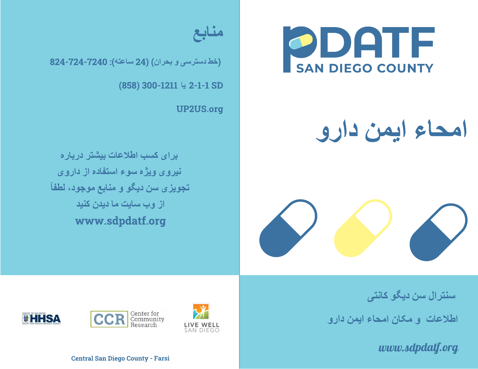

## **امحاء ایمن دارو**





(**خط دسترسی و بحران**) (24 **ساعتھ**): 824-724-7240

(858) 300-1211 2-1-1 SD **یا**

UP2US.org

**برای کسب اطلاعات بیشتر درباره نیروی ویژه سوء استفاده از داروی تجویزی سن دیگو و منابع موجود، لطفاً از وب سایت ما دیدن کنید** www.sdpdatf.org

**سنترال سن دیگو کانتی**

**اطلاعات <sup>و</sup> مکان امحاء ایمن دارو**

*www.sdpdatf.org*







Central San Diego County - Farsi